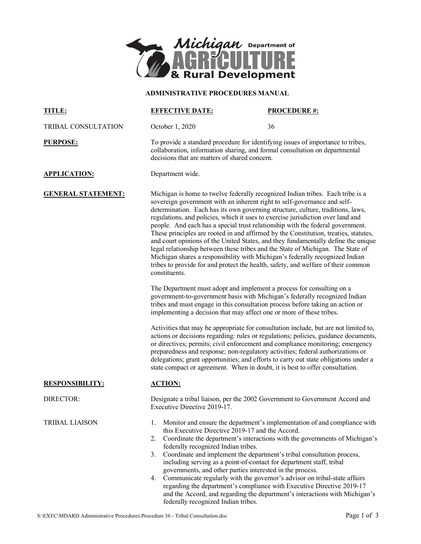

## **ADMINISTRATIVE PROCEDURES MANUAL**

| TITLE:                    | <b>EFFECTIVE DATE:</b>                                                                                                                                                                                                                                                                                                                                                                                                                                                                                                                                                                                                                                                                                                                                                                                                                                                                                                                                                                                                                                                                                                                                                                                                                                                                                                                                                                                                                                                                                                                                                                                                                                                                                                | <b>PROCEDURE #:</b> |
|---------------------------|-----------------------------------------------------------------------------------------------------------------------------------------------------------------------------------------------------------------------------------------------------------------------------------------------------------------------------------------------------------------------------------------------------------------------------------------------------------------------------------------------------------------------------------------------------------------------------------------------------------------------------------------------------------------------------------------------------------------------------------------------------------------------------------------------------------------------------------------------------------------------------------------------------------------------------------------------------------------------------------------------------------------------------------------------------------------------------------------------------------------------------------------------------------------------------------------------------------------------------------------------------------------------------------------------------------------------------------------------------------------------------------------------------------------------------------------------------------------------------------------------------------------------------------------------------------------------------------------------------------------------------------------------------------------------------------------------------------------------|---------------------|
| TRIBAL CONSULTATION       | October 1, 2020                                                                                                                                                                                                                                                                                                                                                                                                                                                                                                                                                                                                                                                                                                                                                                                                                                                                                                                                                                                                                                                                                                                                                                                                                                                                                                                                                                                                                                                                                                                                                                                                                                                                                                       | 36                  |
| <b>PURPOSE:</b>           | To provide a standard procedure for identifying issues of importance to tribes,<br>collaboration, information sharing, and formal consultation on departmental<br>decisions that are matters of shared concern.                                                                                                                                                                                                                                                                                                                                                                                                                                                                                                                                                                                                                                                                                                                                                                                                                                                                                                                                                                                                                                                                                                                                                                                                                                                                                                                                                                                                                                                                                                       |                     |
| <b>APPLICATION:</b>       | Department wide.                                                                                                                                                                                                                                                                                                                                                                                                                                                                                                                                                                                                                                                                                                                                                                                                                                                                                                                                                                                                                                                                                                                                                                                                                                                                                                                                                                                                                                                                                                                                                                                                                                                                                                      |                     |
| <b>GENERAL STATEMENT:</b> | Michigan is home to twelve federally recognized Indian tribes. Each tribe is a<br>sovereign government with an inherent right to self-governance and self-<br>determination. Each has its own governing structure, culture, traditions, laws,<br>regulations, and policies, which it uses to exercise jurisdiction over land and<br>people. And each has a special trust relationship with the federal government.<br>These principles are rooted in and affirmed by the Constitution, treaties, statutes,<br>and court opinions of the United States, and they fundamentally define the unique<br>legal relationship between these tribes and the State of Michigan. The State of<br>Michigan shares a responsibility with Michigan's federally recognized Indian<br>tribes to provide for and protect the health, safety, and welfare of their common<br>constituents.<br>The Department must adopt and implement a process for consulting on a<br>government-to-government basis with Michigan's federally recognized Indian<br>tribes and must engage in this consultation process before taking an action or<br>implementing a decision that may affect one or more of these tribes.<br>Activities that may be appropriate for consultation include, but are not limited to,<br>actions or decisions regarding: rules or regulations; policies, guidance documents,<br>or directives; permits; civil enforcement and compliance monitoring; emergency<br>preparedness and response; non-regulatory activities; federal authorizations or<br>delegations; grant opportunities; and efforts to carry out state obligations under a<br>state compact or agreement. When in doubt, it is best to offer consultation. |                     |
|                           |                                                                                                                                                                                                                                                                                                                                                                                                                                                                                                                                                                                                                                                                                                                                                                                                                                                                                                                                                                                                                                                                                                                                                                                                                                                                                                                                                                                                                                                                                                                                                                                                                                                                                                                       |                     |
|                           |                                                                                                                                                                                                                                                                                                                                                                                                                                                                                                                                                                                                                                                                                                                                                                                                                                                                                                                                                                                                                                                                                                                                                                                                                                                                                                                                                                                                                                                                                                                                                                                                                                                                                                                       |                     |
| <b>RESPONSIBILITY:</b>    | <b>ACTION:</b>                                                                                                                                                                                                                                                                                                                                                                                                                                                                                                                                                                                                                                                                                                                                                                                                                                                                                                                                                                                                                                                                                                                                                                                                                                                                                                                                                                                                                                                                                                                                                                                                                                                                                                        |                     |
| DIRECTOR:                 | Designate a tribal liaison, per the 2002 Government to Government Accord and<br>Executive Directive 2019-17.                                                                                                                                                                                                                                                                                                                                                                                                                                                                                                                                                                                                                                                                                                                                                                                                                                                                                                                                                                                                                                                                                                                                                                                                                                                                                                                                                                                                                                                                                                                                                                                                          |                     |
| <b>TRIBAL LIAISON</b>     | Monitor and ensure the department's implementation of and compliance with<br>1.<br>this Executive Directive 2019-17 and the Accord.<br>Coordinate the department's interactions with the governments of Michigan's<br>2.<br>federally recognized Indian tribes.<br>Coordinate and implement the department's tribal consultation process,<br>3.<br>including serving as a point-of-contact for department staff, tribal<br>governments, and other parties interested in the process.<br>Communicate regularly with the governor's advisor on tribal-state affairs<br>4.<br>regarding the department's compliance with Executive Directive 2019-17<br>and the Accord, and regarding the department's interactions with Michigan's<br>federally recognized Indian tribes.                                                                                                                                                                                                                                                                                                                                                                                                                                                                                                                                                                                                                                                                                                                                                                                                                                                                                                                                               |                     |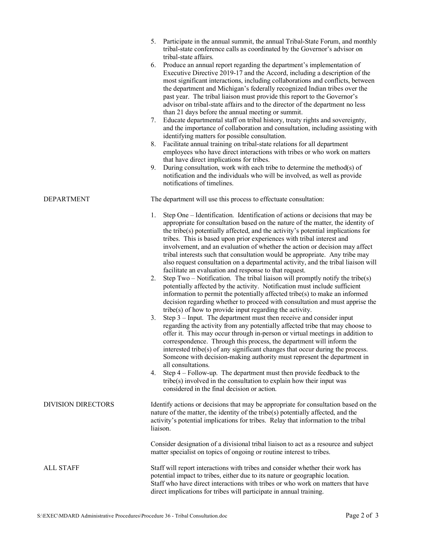|                           | Participate in the annual summit, the annual Tribal-State Forum, and monthly<br>5.<br>tribal-state conference calls as coordinated by the Governor's advisor on<br>tribal-state affairs.<br>Produce an annual report regarding the department's implementation of<br>6.<br>Executive Directive 2019-17 and the Accord, including a description of the<br>most significant interactions, including collaborations and conflicts, between<br>the department and Michigan's federally recognized Indian tribes over the<br>past year. The tribal liaison must provide this report to the Governor's<br>advisor on tribal-state affairs and to the director of the department no less<br>than 21 days before the annual meeting or summit.<br>Educate departmental staff on tribal history, treaty rights and sovereignty,<br>7.<br>and the importance of collaboration and consultation, including assisting with<br>identifying matters for possible consultation.<br>Facilitate annual training on tribal-state relations for all department<br>8.<br>employees who have direct interactions with tribes or who work on matters<br>that have direct implications for tribes.<br>During consultation, work with each tribe to determine the method(s) of<br>9.<br>notification and the individuals who will be involved, as well as provide<br>notifications of timelines.                                                                                                                                                                                                                                                                                                                                                                                               |
|---------------------------|------------------------------------------------------------------------------------------------------------------------------------------------------------------------------------------------------------------------------------------------------------------------------------------------------------------------------------------------------------------------------------------------------------------------------------------------------------------------------------------------------------------------------------------------------------------------------------------------------------------------------------------------------------------------------------------------------------------------------------------------------------------------------------------------------------------------------------------------------------------------------------------------------------------------------------------------------------------------------------------------------------------------------------------------------------------------------------------------------------------------------------------------------------------------------------------------------------------------------------------------------------------------------------------------------------------------------------------------------------------------------------------------------------------------------------------------------------------------------------------------------------------------------------------------------------------------------------------------------------------------------------------------------------------------------------------------------------------------------------------------------------------------|
| <b>DEPARTMENT</b>         | The department will use this process to effectuate consultation:                                                                                                                                                                                                                                                                                                                                                                                                                                                                                                                                                                                                                                                                                                                                                                                                                                                                                                                                                                                                                                                                                                                                                                                                                                                                                                                                                                                                                                                                                                                                                                                                                                                                                                       |
|                           | Step One – Identification. Identification of actions or decisions that may be<br>1.<br>appropriate for consultation based on the nature of the matter, the identity of<br>the tribe(s) potentially affected, and the activity's potential implications for<br>tribes. This is based upon prior experiences with tribal interest and<br>involvement, and an evaluation of whether the action or decision may affect<br>tribal interests such that consultation would be appropriate. Any tribe may<br>also request consultation on a departmental activity, and the tribal liaison will<br>facilitate an evaluation and response to that request.<br>Step Two - Notification. The tribal liaison will promptly notify the tribe(s)<br>2.<br>potentially affected by the activity. Notification must include sufficient<br>information to permit the potentially affected tribe( $s$ ) to make an informed<br>decision regarding whether to proceed with consultation and must apprise the<br>tribe(s) of how to provide input regarding the activity.<br>Step $3$ – Input. The department must then receive and consider input<br>3.<br>regarding the activity from any potentially affected tribe that may choose to<br>offer it. This may occur through in-person or virtual meetings in addition to<br>correspondence. Through this process, the department will inform the<br>interested tribe(s) of any significant changes that occur during the process.<br>Someone with decision-making authority must represent the department in<br>all consultations.<br>Step $4$ – Follow-up. The department must then provide feedback to the<br>4.<br>tribe(s) involved in the consultation to explain how their input was<br>considered in the final decision or action. |
| <b>DIVISION DIRECTORS</b> | Identify actions or decisions that may be appropriate for consultation based on the<br>nature of the matter, the identity of the tribe(s) potentially affected, and the<br>activity's potential implications for tribes. Relay that information to the tribal<br>liaison.                                                                                                                                                                                                                                                                                                                                                                                                                                                                                                                                                                                                                                                                                                                                                                                                                                                                                                                                                                                                                                                                                                                                                                                                                                                                                                                                                                                                                                                                                              |
|                           | Consider designation of a divisional tribal liaison to act as a resource and subject<br>matter specialist on topics of ongoing or routine interest to tribes.                                                                                                                                                                                                                                                                                                                                                                                                                                                                                                                                                                                                                                                                                                                                                                                                                                                                                                                                                                                                                                                                                                                                                                                                                                                                                                                                                                                                                                                                                                                                                                                                          |
| <b>ALL STAFF</b>          | Staff will report interactions with tribes and consider whether their work has<br>potential impact to tribes, either due to its nature or geographic location.<br>Staff who have direct interactions with tribes or who work on matters that have<br>direct implications for tribes will participate in annual training.                                                                                                                                                                                                                                                                                                                                                                                                                                                                                                                                                                                                                                                                                                                                                                                                                                                                                                                                                                                                                                                                                                                                                                                                                                                                                                                                                                                                                                               |